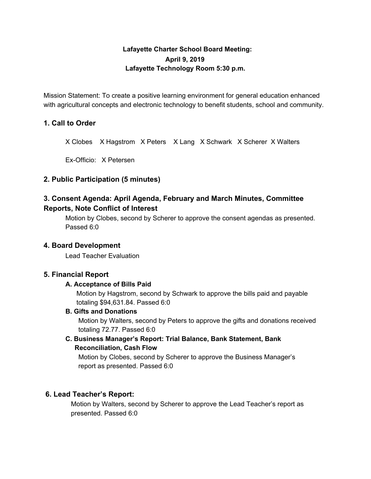# **Lafayette Charter School Board Meeting: April 9, 2019 Lafayette Technology Room 5:30 p.m.**

Mission Statement: To create a positive learning environment for general education enhanced with agricultural concepts and electronic technology to benefit students, school and community.

## **1. Call to Order**

X Clobes X Hagstrom X Peters X Lang X Schwark X Scherer X Walters

Ex-Officio: X Petersen

# **2. Public Participation (5 minutes)**

# **3. Consent Agenda: April Agenda, February and March Minutes, Committee Reports, Note Conflict of Interest**

Motion by Clobes, second by Scherer to approve the consent agendas as presented. Passed 6:0

## **4. Board Development**

Lead Teacher Evaluation

## **5. Financial Report**

## **A. Acceptance of Bills Paid**

Motion by Hagstrom, second by Schwark to approve the bills paid and payable totaling \$94,631.84. Passed 6:0

## **B. Gifts and Donations**

Motion by Walters, second by Peters to approve the gifts and donations received totaling 72.77. Passed 6:0

# **C. Business Manager's Report: Trial Balance, Bank Statement, Bank Reconciliation, Cash Flow**

Motion by Clobes, second by Scherer to approve the Business Manager's report as presented. Passed 6:0

# **6. Lead Teacher's Report:**

Motion by Walters, second by Scherer to approve the Lead Teacher's report as presented. Passed 6:0